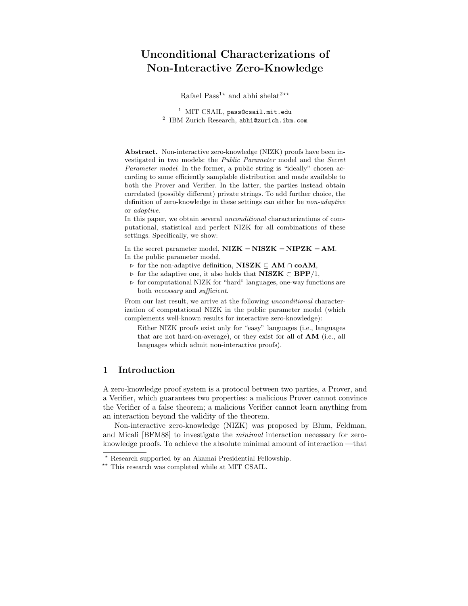# Unconditional Characterizations of Non-Interactive Zero-Knowledge

Rafael Pass<sup>1\*</sup> and abhi shelat<sup>2\*\*</sup>

<sup>1</sup> MIT CSAIL, pass@csail.mit.edu  $^{2}$  IBM Zurich Research, abhi@zurich.ibm.com

Abstract. Non-interactive zero-knowledge (NIZK) proofs have been investigated in two models: the Public Parameter model and the Secret Parameter model. In the former, a public string is "ideally" chosen according to some efficiently samplable distribution and made available to both the Prover and Verifier. In the latter, the parties instead obtain correlated (possibly different) private strings. To add further choice, the definition of zero-knowledge in these settings can either be non-adaptive or adaptive.

In this paper, we obtain several *unconditional* characterizations of computational, statistical and perfect NIZK for all combinations of these settings. Specifically, we show:

In the secret parameter model,  $NIZK = NISZK = NIPZK = AM$ . In the public parameter model,

- . for the non-adaptive definition, NISZK ⊆ AM ∩ coAM,
- $\rhd$  for the adaptive one, it also holds that NISZK ⊂ BPP/1,
- $\triangleright$  for computational NIZK for "hard" languages, one-way functions are both necessary and sufficient.

From our last result, we arrive at the following *unconditional* characterization of computational NIZK in the public parameter model (which complements well-known results for interactive zero-knowledge):

Either NIZK proofs exist only for "easy" languages (i.e., languages that are not hard-on-average), or they exist for all of AM (i.e., all languages which admit non-interactive proofs).

## 1 Introduction

A zero-knowledge proof system is a protocol between two parties, a Prover, and a Verifier, which guarantees two properties: a malicious Prover cannot convince the Verifier of a false theorem; a malicious Verifier cannot learn anything from an interaction beyond the validity of the theorem.

Non-interactive zero-knowledge (NIZK) was proposed by Blum, Feldman, and Micali [BFM88] to investigate the minimal interaction necessary for zeroknowledge proofs. To achieve the absolute minimal amount of interaction —that

<sup>?</sup> Research supported by an Akamai Presidential Fellowship.

<sup>\*\*</sup> This research was completed while at MIT CSAIL.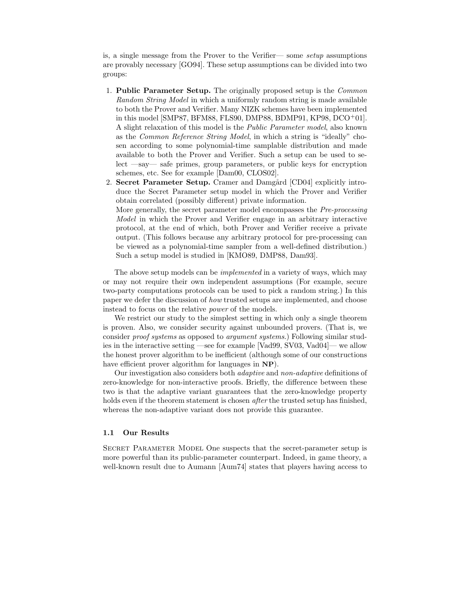is, a single message from the Prover to the Verifier— some setup assumptions are provably necessary [GO94]. These setup assumptions can be divided into two groups:

- 1. Public Parameter Setup. The originally proposed setup is the Common Random String Model in which a uniformly random string is made available to both the Prover and Verifier. Many NIZK schemes have been implemented in this model [SMP87, BFM88, FLS90, DMP88, BDMP91, KP98,  $DCO<sup>+</sup>01$ ]. A slight relaxation of this model is the Public Parameter model, also known as the Common Reference String Model, in which a string is "ideally" chosen according to some polynomial-time samplable distribution and made available to both the Prover and Verifier. Such a setup can be used to select —say— safe primes, group parameters, or public keys for encryption schemes, etc. See for example [Dam00, CLOS02].
- 2. Secret Parameter Setup. Cramer and Damgård [CD04] explicitly introduce the Secret Parameter setup model in which the Prover and Verifier obtain correlated (possibly different) private information. More generally, the secret parameter model encompasses the Pre-processing Model in which the Prover and Verifier engage in an arbitrary interactive protocol, at the end of which, both Prover and Verifier receive a private output. (This follows because any arbitrary protocol for pre-processing can be viewed as a polynomial-time sampler from a well-defined distribution.) Such a setup model is studied in [KMO89, DMP88, Dam93].

The above setup models can be implemented in a variety of ways, which may or may not require their own independent assumptions (For example, secure two-party computations protocols can be used to pick a random string.) In this paper we defer the discussion of how trusted setups are implemented, and choose instead to focus on the relative power of the models.

We restrict our study to the simplest setting in which only a single theorem is proven. Also, we consider security against unbounded provers. (That is, we consider proof systems as opposed to argument systems.) Following similar studies in the interactive setting —see for example [Vad99, SV03, Vad04]— we allow the honest prover algorithm to be inefficient (although some of our constructions have efficient prover algorithm for languages in  $NP$ ).

Our investigation also considers both adaptive and non-adaptive definitions of zero-knowledge for non-interactive proofs. Briefly, the difference between these two is that the adaptive variant guarantees that the zero-knowledge property holds even if the theorem statement is chosen after the trusted setup has finished, whereas the non-adaptive variant does not provide this guarantee.

### 1.1 Our Results

Secret Parameter Model One suspects that the secret-parameter setup is more powerful than its public-parameter counterpart. Indeed, in game theory, a well-known result due to Aumann [Aum74] states that players having access to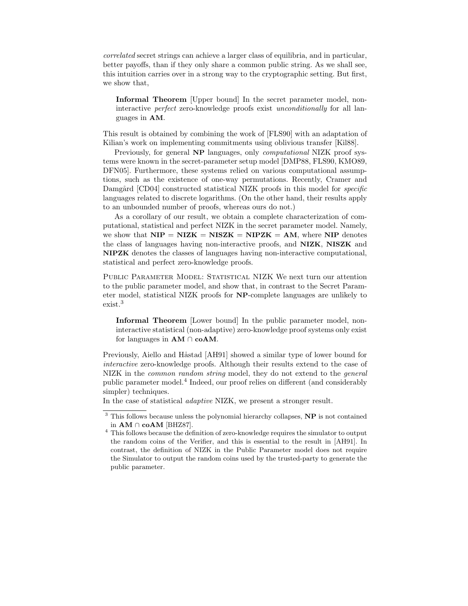correlated secret strings can achieve a larger class of equilibria, and in particular, better payoffs, than if they only share a common public string. As we shall see, this intuition carries over in a strong way to the cryptographic setting. But first, we show that,

Informal Theorem [Upper bound] In the secret parameter model, noninteractive perfect zero-knowledge proofs exist unconditionally for all languages in AM.

This result is obtained by combining the work of [FLS90] with an adaptation of Kilian's work on implementing commitments using oblivious transfer [Kil88].

Previously, for general **NP** languages, only *computational* NIZK proof systems were known in the secret-parameter setup model [DMP88, FLS90, KMO89, DFN05]. Furthermore, these systems relied on various computational assumptions, such as the existence of one-way permutations. Recently, Cramer and Damgård [CD04] constructed statistical NIZK proofs in this model for specific languages related to discrete logarithms. (On the other hand, their results apply to an unbounded number of proofs, whereas ours do not.)

As a corollary of our result, we obtain a complete characterization of computational, statistical and perfect NIZK in the secret parameter model. Namely, we show that  $NIP = NIZK = NISZK = NIPZK = AM$ , where  $NIP$  denotes the class of languages having non-interactive proofs, and NIZK, NISZK and NIPZK denotes the classes of languages having non-interactive computational, statistical and perfect zero-knowledge proofs.

PUBLIC PARAMETER MODEL: STATISTICAL NIZK We next turn our attention to the public parameter model, and show that, in contrast to the Secret Parameter model, statistical NIZK proofs for NP-complete languages are unlikely to exist.<sup>3</sup>

Informal Theorem [Lower bound] In the public parameter model, noninteractive statistical (non-adaptive) zero-knowledge proof systems only exist for languages in  $AM \cap coAM$ .

Previously, Aiello and Håstad [AH91] showed a similar type of lower bound for interactive zero-knowledge proofs. Although their results extend to the case of NIZK in the common random string model, they do not extend to the general public parameter model.<sup>4</sup> Indeed, our proof relies on different (and considerably simpler) techniques.

In the case of statistical adaptive NIZK, we present a stronger result.

 $^3$  This follows because unless the polynomial hierarchy collapses,  $\bf NP$  is not contained in  $AM \cap coAM$  [BHZ87].

 $^4\,$  This follows because the definition of zero-knowledge requires the simulator to output the random coins of the Verifier, and this is essential to the result in [AH91]. In contrast, the definition of NIZK in the Public Parameter model does not require the Simulator to output the random coins used by the trusted-party to generate the public parameter.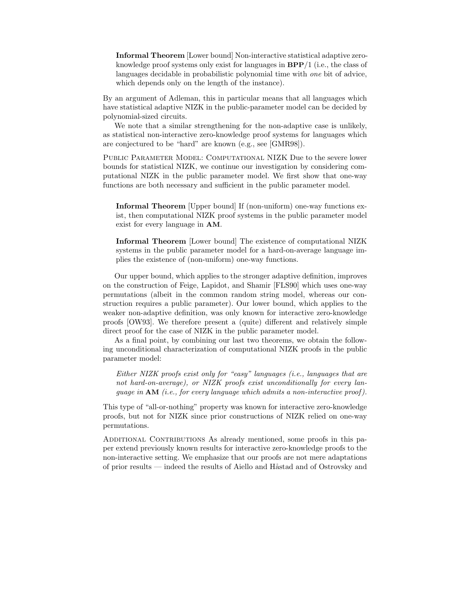Informal Theorem [Lower bound] Non-interactive statistical adaptive zeroknowledge proof systems only exist for languages in  $\mathbf{BPP}/1$  (i.e., the class of languages decidable in probabilistic polynomial time with one bit of advice, which depends only on the length of the instance).

By an argument of Adleman, this in particular means that all languages which have statistical adaptive NIZK in the public-parameter model can be decided by polynomial-sized circuits.

We note that a similar strengthening for the non-adaptive case is unlikely. as statistical non-interactive zero-knowledge proof systems for languages which are conjectured to be "hard" are known (e.g., see [GMR98]).

PUBLIC PARAMETER MODEL: COMPUTATIONAL NIZK Due to the severe lower bounds for statistical NIZK, we continue our investigation by considering computational NIZK in the public parameter model. We first show that one-way functions are both necessary and sufficient in the public parameter model.

Informal Theorem [Upper bound] If (non-uniform) one-way functions exist, then computational NIZK proof systems in the public parameter model exist for every language in AM.

Informal Theorem [Lower bound] The existence of computational NIZK systems in the public parameter model for a hard-on-average language implies the existence of (non-uniform) one-way functions.

Our upper bound, which applies to the stronger adaptive definition, improves on the construction of Feige, Lapidot, and Shamir [FLS90] which uses one-way permutations (albeit in the common random string model, whereas our construction requires a public parameter). Our lower bound, which applies to the weaker non-adaptive definition, was only known for interactive zero-knowledge proofs [OW93]. We therefore present a (quite) different and relatively simple direct proof for the case of NIZK in the public parameter model.

As a final point, by combining our last two theorems, we obtain the following unconditional characterization of computational NIZK proofs in the public parameter model:

Either NIZK proofs exist only for "easy" languages (i.e., languages that are not hard-on-average), or NIZK proofs exist unconditionally for every language in  $AM$  (i.e., for every language which admits a non-interactive proof).

This type of "all-or-nothing" property was known for interactive zero-knowledge proofs, but not for NIZK since prior constructions of NIZK relied on one-way permutations.

ADDITIONAL CONTRIBUTIONS As already mentioned, some proofs in this paper extend previously known results for interactive zero-knowledge proofs to the non-interactive setting. We emphasize that our proofs are not mere adaptations of prior results — indeed the results of Aiello and Håstad and of Ostrovsky and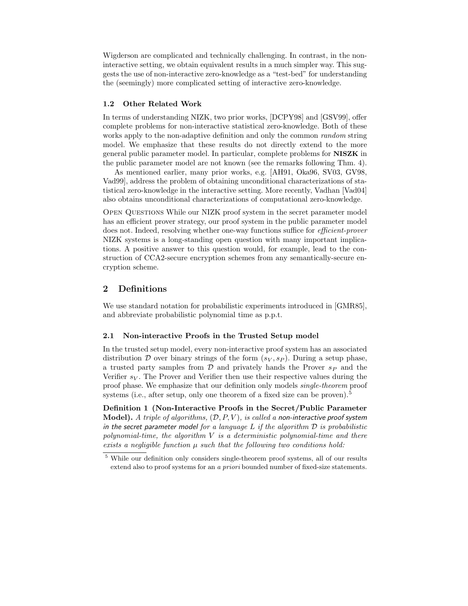Wigderson are complicated and technically challenging. In contrast, in the noninteractive setting, we obtain equivalent results in a much simpler way. This suggests the use of non-interactive zero-knowledge as a "test-bed" for understanding the (seemingly) more complicated setting of interactive zero-knowledge.

### 1.2 Other Related Work

In terms of understanding NIZK, two prior works, [DCPY98] and [GSV99], offer complete problems for non-interactive statistical zero-knowledge. Both of these works apply to the non-adaptive definition and only the common *random* string model. We emphasize that these results do not directly extend to the more general public parameter model. In particular, complete problems for NISZK in the public parameter model are not known (see the remarks following Thm. 4).

As mentioned earlier, many prior works, e.g. [AH91, Oka96, SV03, GV98, Vad99], address the problem of obtaining unconditional characterizations of statistical zero-knowledge in the interactive setting. More recently, Vadhan [Vad04] also obtains unconditional characterizations of computational zero-knowledge.

Open Questions While our NIZK proof system in the secret parameter model has an efficient prover strategy, our proof system in the public parameter model does not. Indeed, resolving whether one-way functions suffice for efficient-prover NIZK systems is a long-standing open question with many important implications. A positive answer to this question would, for example, lead to the construction of CCA2-secure encryption schemes from any semantically-secure encryption scheme.

### 2 Definitions

We use standard notation for probabilistic experiments introduced in [GMR85], and abbreviate probabilistic polynomial time as p.p.t.

#### 2.1 Non-interactive Proofs in the Trusted Setup model

In the trusted setup model, every non-interactive proof system has an associated distribution D over binary strings of the form  $(s_V, s_P)$ . During a setup phase, a trusted party samples from  $\mathcal D$  and privately hands the Prover  $s_P$  and the Verifier  $s_V$ . The Prover and Verifier then use their respective values during the proof phase. We emphasize that our definition only models single-theorem proof systems (i.e., after setup, only one theorem of a fixed size can be proven).<sup>5</sup>

Definition 1 (Non-Interactive Proofs in the Secret/Public Parameter **Model).** A triple of algorithms,  $(D, P, V)$ , is called a non-interactive proof system in the secret parameter model for a language  $L$  if the algorithm  $D$  is probabilistic polynomial-time, the algorithm  $V$  is a deterministic polynomial-time and there exists a negligible function  $\mu$  such that the following two conditions hold:

<sup>5</sup> While our definition only considers single-theorem proof systems, all of our results extend also to proof systems for an a priori bounded number of fixed-size statements.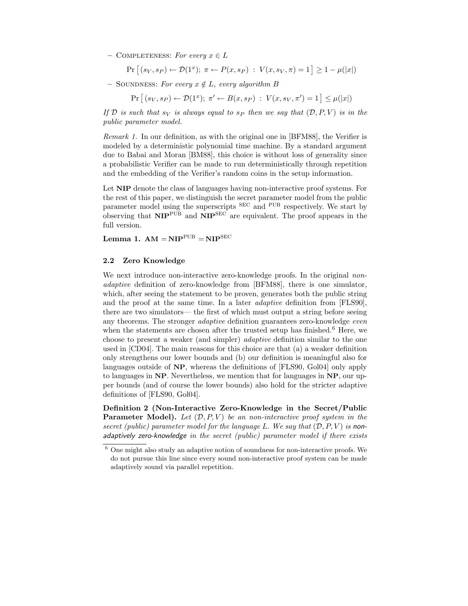$-$  COMPLETENESS: For every  $x \in L$ 

$$
Pr [(s_V, s_P) \leftarrow \mathcal{D}(1^x); \ \pi \leftarrow P(x, s_P) : V(x, s_V, \pi) = 1] \ge 1 - \mu(|x|)
$$

– SOUNDNESS: For every  $x \notin L$ , every algorithm B

 $Pr [(s_V, s_P) \leftarrow \mathcal{D}(1^x); \ \pi' \leftarrow B(x, s_P) : V(x, s_V, \pi') = 1] \leq \mu(|x|)$ 

If  $D$  is such that s<sub>V</sub> is always equal to s<sub>P</sub> then we say that  $(D, P, V)$  is in the public parameter model.

Remark 1. In our definition, as with the original one in [BFM88], the Verifier is modeled by a deterministic polynomial time machine. By a standard argument due to Babai and Moran [BM88], this choice is without loss of generality since a probabilistic Verifier can be made to run deterministically through repetition and the embedding of the Verifier's random coins in the setup information.

Let NIP denote the class of languages having non-interactive proof systems. For the rest of this paper, we distinguish the secret parameter model from the public parameter model using the superscripts <sup>SEC</sup> and <sup>PUB</sup> respectively. We start by observing that  $\text{NIP}^{\text{PUB}}$  and  $\text{NIP}^{\text{SEC}}$  are equivalent. The proof appears in the full version.

Lemma 1.  $AM = NIP<sup>PUB</sup> = NIP<sup>SEC</sup>$ 

### 2.2 Zero Knowledge

We next introduce non-interactive zero-knowledge proofs. In the original nonadaptive definition of zero-knowledge from [BFM88], there is one simulator, which, after seeing the statement to be proven, generates both the public string and the proof at the same time. In a later adaptive definition from [FLS90], there are two simulators— the first of which must output a string before seeing any theorems. The stronger *adaptive* definition guarantees zero-knowledge even when the statements are chosen after the trusted setup has finished.<sup>6</sup> Here, we choose to present a weaker (and simpler) adaptive definition similar to the one used in [CD04]. The main reasons for this choice are that (a) a weaker definition only strengthens our lower bounds and (b) our definition is meaningful also for languages outside of NP, whereas the definitions of [FLS90, Gol04] only apply to languages in NP. Nevertheless, we mention that for languages in NP, our upper bounds (and of course the lower bounds) also hold for the stricter adaptive definitions of [FLS90, Gol04].

Definition 2 (Non-Interactive Zero-Knowledge in the Secret/Public **Parameter Model).** Let  $(D, P, V)$  be an non-interactive proof system in the secret (public) parameter model for the language L. We say that  $(D, P, V)$  is nonadaptively zero-knowledge in the secret (public) parameter model if there exists

 $6$  One might also study an adaptive notion of soundness for non-interactive proofs. We do not pursue this line since every sound non-interactive proof system can be made adaptively sound via parallel repetition.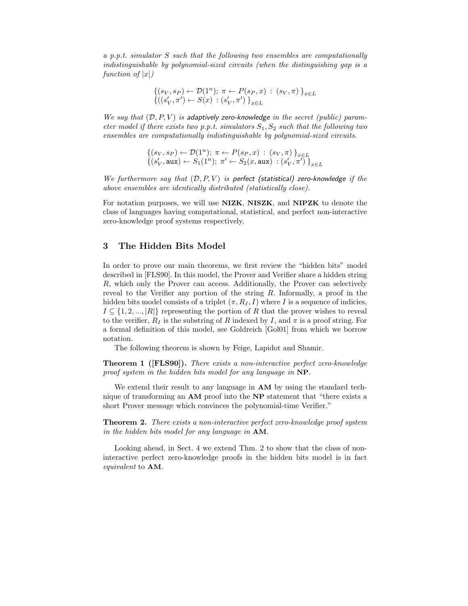a p.p.t. simulator S such that the following two ensembles are computationally indistinguishable by polynomial-sized circuits (when the distinguishing gap is a function of  $|x|$ )

$$
\{(s_V, s_P) \leftarrow \mathcal{D}(1^n); \ \pi \leftarrow P(s_P, x) : (s_V, \pi)\}_{x \in L} \{((s'_V, \pi') \leftarrow S(x) : (s'_V, \pi')\}_{x \in L}
$$

We say that  $(D, P, V)$  is adaptively zero-knowledge in the secret (public) parameter model if there exists two p.p.t. simulators  $S_1, S_2$  such that the following two ensembles are computationally indistinguishable by polynomial-sized circuits.

$$
\begin{array}{l} \{(s_V,s_P) \leftarrow \mathcal{D}(1^n); \ \pi \leftarrow P(s_P,x) \ : \ (s_V,\pi) \ \}_{x \in L} \\ \{(s'_V,\mathtt{aux}) \leftarrow S_1(1^n); \ \pi' \leftarrow S_2(x,\mathtt{aux}) \ : \ (s'_V,\pi') \ \}_{x \in L} \end{array}
$$

We furthermore say that  $(D, P, V)$  is perfect (statistical) zero-knowledge if the above ensembles are identically distributed (statistically close).

For notation purposes, we will use NIZK, NISZK, and NIPZK to denote the class of languages having computational, statistical, and perfect non-interactive zero-knowledge proof systems respectively.

### 3 The Hidden Bits Model

In order to prove our main theorems, we first review the "hidden bits" model described in [FLS90]. In this model, the Prover and Verifier share a hidden string R, which only the Prover can access. Additionally, the Prover can selectively reveal to the Verifier any portion of the string R. Informally, a proof in the hidden bits model consists of a triplet  $(\pi, R_I, I)$  where I is a sequence of indicies,  $I \subseteq \{1, 2, ..., |R|\}$  representing the portion of R that the prover wishes to reveal to the verifier,  $R_I$  is the substring of R indexed by I, and  $\pi$  is a proof string. For a formal definition of this model, see Goldreich [Gol01] from which we borrow notation.

The following theorem is shown by Feige, Lapidot and Shamir.

Theorem 1 ([FLS90]). There exists a non-interactive perfect zero-knowledge proof system in the hidden bits model for any language in NP.

We extend their result to any language in **AM** by using the standard technique of transforming an AM proof into the NP statement that "there exists a short Prover message which convinces the polynomial-time Verifier."

Theorem 2. There exists a non-interactive perfect zero-knowledge proof system in the hidden bits model for any language in AM.

Looking ahead, in Sect. 4 we extend Thm. 2 to show that the class of noninteractive perfect zero-knowledge proofs in the hidden bits model is in fact equivalent to AM.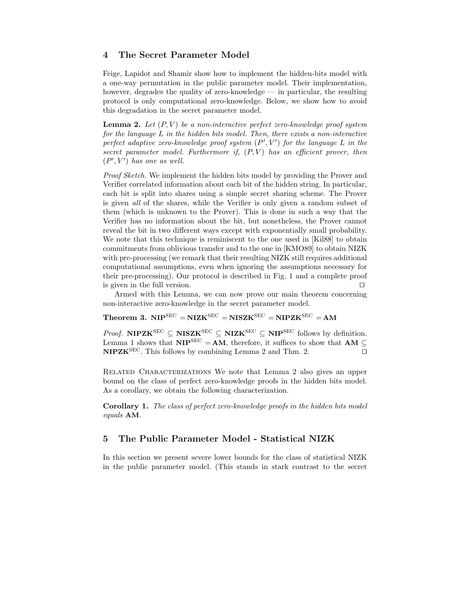### 4 The Secret Parameter Model

Feige, Lapidot and Shamir show how to implement the hidden-bits model with a one-way permutation in the public parameter model. Their implementation, however, degrades the quality of zero-knowledge — in particular, the resulting protocol is only computational zero-knowledge. Below, we show how to avoid this degradation in the secret parameter model.

**Lemma 2.** Let  $(P, V)$  be a non-interactive perfect zero-knowledge proof system for the language  $L$  in the hidden bits model. Then, there exists a non-interactive perfect adaptive zero-knowledge proof system  $(P', V')$  for the language L in the secret parameter model. Furthermore if,  $(P, V)$  has an efficient prover, then  $(P', V')$  has one as well.

Proof Sketch. We implement the hidden bits model by providing the Prover and Verifier correlated information about each bit of the hidden string. In particular, each bit is split into shares using a simple secret sharing scheme. The Prover is given all of the shares, while the Verifier is only given a random subset of them (which is unknown to the Prover). This is done in such a way that the Verifier has no information about the bit, but nonetheless, the Prover cannot reveal the bit in two different ways except with exponentially small probability. We note that this technique is reminiscent to the one used in [Kil88] to obtain commitments from oblivious transfer and to the one in [KMO89] to obtain NIZK with pre-processing (we remark that their resulting NIZK still requires additional computational assumptions, even when ignoring the assumptions necessary for their pre-processing). Our protocol is described in Fig. 1 and a complete proof is given in the full version.  $\Box$ 

Armed with this Lemma, we can now prove our main theorem concerning non-interactive zero-knowledge in the secret parameter model.

## Theorem 3.  $\text{NIP}^{\text{SEC}} = \text{NIZK}^{\text{SEC}} = \text{NISZK}^{\text{SEC}} = \text{NIPZK}^{\text{SEC}} = \text{AM}$

*Proof.* NIPZK<sup>SEC</sup>  $\subset$  NISZK<sup>SEC</sup>  $\subset$  NIZK<sup>SEC</sup>  $\subset$  NIP<sup>SEC</sup> follows by definition. Lemma 1 shows that  $NIP<sup>SEC</sup> = AM$ , therefore, it suffices to show that  $AM \subseteq$  $NIPZK<sup>SEC</sup>$ . This follows by combining Lemma 2 and Thm. 2.

Related Characterizations We note that Lemma 2 also gives an upper bound on the class of perfect zero-knowledge proofs in the hidden bits model. As a corollary, we obtain the following characterization.

Corollary 1. The class of perfect zero-knowledge proofs in the hidden bits model equals AM.

### 5 The Public Parameter Model - Statistical NIZK

In this section we present severe lower bounds for the class of statistical NIZK in the public parameter model. (This stands in stark contrast to the secret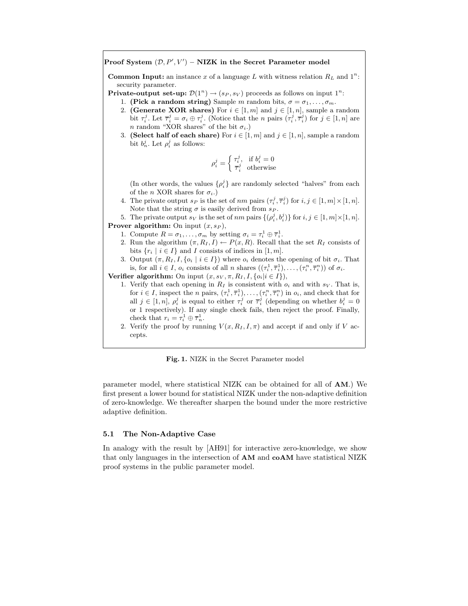Proof System  $(D, P', V')$  – NIZK in the Secret Parameter model

**Common Input:** an instance x of a language L with witness relation  $R_L$  and  $1^n$ : security parameter.

**Private-output set-up:**  $\mathcal{D}(1^n) \rightarrow (s_P, s_V)$  proceeds as follows on input  $1^n$ :

- 1. (Pick a random string) Sample m random bits,  $\sigma = \sigma_1, \ldots, \sigma_m$ .
- 2. (Generate XOR shares) For  $i \in [1, m]$  and  $j \in [1, n]$ , sample a random bit  $\tau_i^j$ . Let  $\overline{\tau}_i^j = \sigma_i \oplus \tau_i^j$ . (Notice that the *n* pairs  $(\tau_i^j, \overline{\tau}_i^j)$  for  $j \in [1, n]$  are n random "XOR shares" of the bit  $\sigma_i$ .)
- 3. (Select half of each share) For  $i \in [1, m]$  and  $j \in [1, n]$ , sample a random bit  $b_n^j$ . Let  $\rho_i^j$  as follows:

$$
\rho_i^j = \begin{cases} \tau_i^j, & \text{if } b_i^j = 0\\ \overline{\tau}_i^j & \text{otherwise} \end{cases}
$$

(In other words, the values  $\{\rho_i^j\}$  are randomly selected "halves" from each of the n XOR shares for  $\sigma_i$ .)

4. The private output  $s_P$  is the set of  $nm$  pairs  $(\tau_i^j, \overline{\tau}_i^j)$  for  $i, j \in [1, m] \times [1, n]$ . Note that the string  $\sigma$  is easily derived from  $s_P$ .

5. The private output  $s_V$  is the set of  $nm$  pairs  $\{(\rho_i^j, b_i^j)\}\$  for  $i, j \in [1, m] \times [1, n]$ . **Prover algorithm:** On input  $(x, s_P)$ ,

1. Compute  $R = \sigma_1, \ldots, \sigma_m$  by setting  $\sigma_i = \tau_i^1 \oplus \overline{\tau}_i^1$ .

- 2. Run the algorithm  $(\pi, R_I, I) \leftarrow P(x, R)$ . Recall that the set  $R_I$  consists of bits  $\{r_i \mid i \in I\}$  and I consists of indices in  $[1, m]$ .
- 3. Output  $(\pi, R_I, I, \{o_i \mid i \in I\})$  where  $o_i$  denotes the opening of bit  $\sigma_i$ . That is, for all  $i \in I$ ,  $o_i$  consists of all n shares  $((\tau_i^1, \overline{\tau}_i^1), \ldots, (\tau_i^n, \overline{\tau}_i^n))$  of  $\sigma_i$ .

Verifier algorithm: On input  $(x, s_V, \pi, R_I, I, \{o_i | i \in I\}),$ 

- 1. Verify that each opening in  $R_I$  is consistent with  $o_i$  and with  $s_V$ . That is, for  $i \in I$ , inspect the *n* pairs,  $(\tau_i^1, \overline{\tau}_i^1), \ldots, (\tau_i^n, \overline{\tau}_i^n)$  in  $o_i$ , and check that for all  $j \in [1, n]$ ,  $\rho_i^j$  is equal to either  $\tau_i^j$  or  $\overline{\tau}_i^j$  (depending on whether  $b_i^j = 0$ or 1 respectively). If any single check fails, then reject the proof. Finally, check that  $r_i = \tau_i^1 \oplus \overline{\tau}_n^1$ .
- 2. Verify the proof by running  $V(x, R_I, I, \pi)$  and accept if and only if V accepts.

Fig. 1. NIZK in the Secret Parameter model

parameter model, where statistical NIZK can be obtained for all of AM.) We first present a lower bound for statistical NIZK under the non-adaptive definition of zero-knowledge. We thereafter sharpen the bound under the more restrictive adaptive definition.

#### 5.1 The Non-Adaptive Case

In analogy with the result by [AH91] for interactive zero-knowledge, we show that only languages in the intersection of AM and coAM have statistical NIZK proof systems in the public parameter model.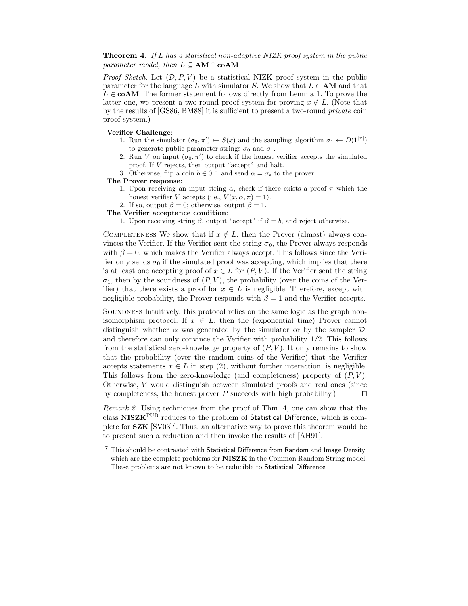Theorem 4. If L has a statistical non-adaptive NIZK proof system in the public parameter model, then  $L \subseteq AM \cap coAM$ .

*Proof Sketch.* Let  $(D, P, V)$  be a statistical NIZK proof system in the public parameter for the language L with simulator S. We show that  $L \in AM$  and that  $L \in \mathbf{coAM}$ . The former statement follows directly from Lemma 1. To prove the latter one, we present a two-round proof system for proving  $x \notin L$ . (Note that by the results of [GS86, BM88] it is sufficient to present a two-round private coin proof system.)

#### Verifier Challenge:

- 1. Run the simulator  $(\sigma_0, \pi') \leftarrow S(x)$  and the sampling algorithm  $\sigma_1 \leftarrow D(1^{|x|})$ to generate public parameter strings  $\sigma_0$  and  $\sigma_1$ .
- 2. Run V on input  $(\sigma_0, \pi')$  to check if the honest verifier accepts the simulated proof. If V rejects, then output "accept" and halt.
- 3. Otherwise, flip a coin  $b \in 0, 1$  and send  $\alpha = \sigma_b$  to the prover.

#### The Prover response:

- 1. Upon receiving an input string  $\alpha$ , check if there exists a proof  $\pi$  which the honest verifier V accepts (i.e.,  $V(x, \alpha, \pi) = 1$ ).
- 2. If so, output  $\beta = 0$ ; otherwise, output  $\beta = 1$ .
- The Verifier acceptance condition:
	- 1. Upon receiving string  $\beta$ , output "accept" if  $\beta = b$ , and reject otherwise.

COMPLETENESS We show that if  $x \notin L$ , then the Prover (almost) always convinces the Verifier. If the Verifier sent the string  $\sigma_0$ , the Prover always responds with  $\beta = 0$ , which makes the Verifier always accept. This follows since the Verifier only sends  $\sigma_0$  if the simulated proof was accepting, which implies that there is at least one accepting proof of  $x \in L$  for  $(P, V)$ . If the Verifier sent the string  $\sigma_1$ , then by the soundness of  $(P, V)$ , the probability (over the coins of the Verifier) that there exists a proof for  $x \in L$  is negligible. Therefore, except with negligible probability, the Prover responds with  $\beta = 1$  and the Verifier accepts.

SOUNDNESS Intuitively, this protocol relies on the same logic as the graph nonisomorphism protocol. If  $x \in L$ , then the (exponential time) Prover cannot distinguish whether  $\alpha$  was generated by the simulator or by the sampler  $\mathcal{D}$ , and therefore can only convince the Verifier with probability 1/2. This follows from the statistical zero-knowledge property of  $(P, V)$ . It only remains to show that the probability (over the random coins of the Verifier) that the Verifier accepts statements  $x \in L$  in step (2), without further interaction, is negligible. This follows from the zero-knowledge (and completeness) property of  $(P, V)$ . Otherwise, V would distinguish between simulated proofs and real ones (since by completeness, the honest prover P succeeds with high probability.)  $\Box$ 

Remark 2. Using techniques from the proof of Thm. 4, one can show that the class  $NISZK^{PUB}$  reduces to the problem of Statistical Difference, which is complete for **SZK** [SV03]<sup>7</sup>. Thus, an alternative way to prove this theorem would be to present such a reduction and then invoke the results of [AH91].

 $7$  This should be contrasted with Statistical Difference from Random and Image Density, which are the complete problems for NISZK in the Common Random String model. These problems are not known to be reducible to Statistical Difference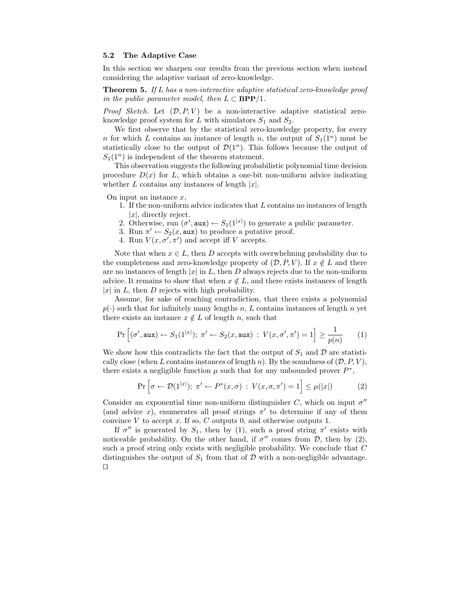#### 5.2 The Adaptive Case

In this section we sharpen our results from the previous section when instead considering the adaptive variant of zero-knowledge.

Theorem 5. If L has a non-interactive adaptive statistical zero-knowledge proof in the public parameter model, then  $L \subset \textbf{BPP}/1$ .

*Proof Sketch.* Let  $(D, P, V)$  be a non-interactive adaptive statistical zeroknowledge proof system for L with simulators  $S_1$  and  $S_2$ .

We first observe that by the statistical zero-knowledge property, for every n for which L contains an instance of length n, the output of  $S_1(1^n)$  must be statistically close to the output of  $\mathcal{D}(1^n)$ . This follows because the output of  $S_1(1^n)$  is independent of the theorem statement.

This observation suggests the following probabilistic polynomial time decision procedure  $D(x)$  for L, which obtains a one-bit non-uniform advice indicating whether L contains any instances of length  $|x|$ .

On input an instance  $x$ ,

- 1. If the non-uniform advice indicates that L contains no instances of length  $|x|$ , directly reject.
- 2. Otherwise, run  $(\sigma', \text{aux}) \leftarrow S_1(1^{|\mathcal{x}|})$  to generate a public parameter.
- 3. Run  $\pi' \leftarrow S_2(x, \text{aux})$  to produce a putative proof.
- 4. Run  $V(x, \sigma', \pi')$  and accept iff V accepts.

Note that when  $x \in L$ , then D accepts with overwhelming probability due to the completeness and zero-knowledge property of  $(D, P, V)$ . If  $x \notin L$  and there are no instances of length  $|x|$  in L, then D always rejects due to the non-uniform advice. It remains to show that when  $x \notin L$ , and there exists instances of length  $|x|$  in L, then D rejects with high probability.

Assume, for sake of reaching contradiction, that there exists a polynomial  $p(\cdot)$  such that for infinitely many lengths n, L contains instances of length n yet there exists an instance  $x \notin L$  of length n, such that

$$
\Pr\left[ (\sigma', \text{aux}) \leftarrow S_1(1^{|x|}); \ \pi' \leftarrow S_2(x, \text{aux}) \ : \ V(x, \sigma', \pi') = 1 \right] \ge \frac{1}{p(n)} \tag{1}
$$

We show how this contradicts the fact that the output of  $S_1$  and  $\mathcal D$  are statistically close (when L contains instances of length n). By the soundness of  $(D, P, V)$ , there exists a negligible function  $\mu$  such that for any unbounded prover  $P^*$ ,

$$
\Pr\left[\sigma \leftarrow \mathcal{D}(1^{|x|}); \ \pi' \leftarrow P^*(x, \sigma) \ : \ V(x, \sigma, \pi') = 1\right] \le \mu(|x|) \tag{2}
$$

Consider an exponential time non-uniform distinguisher C, which on input  $\sigma''$ (and advice x), enumerates all proof strings  $\pi'$  to determine if any of them convince  $V$  to accept  $x$ . If so,  $C$  outputs 0, and otherwise outputs 1.

If  $\sigma''$  is generated by  $S_1$ , then by (1), such a proof string  $\pi'$  exists with noticeable probability. On the other hand, if  $\sigma''$  comes from  $\mathcal{D}$ , then by (2), such a proof string only exists with negligible probability. We conclude that C distinguishes the output of  $S_1$  from that of  $D$  with a non-negligible advantage.  $\Box$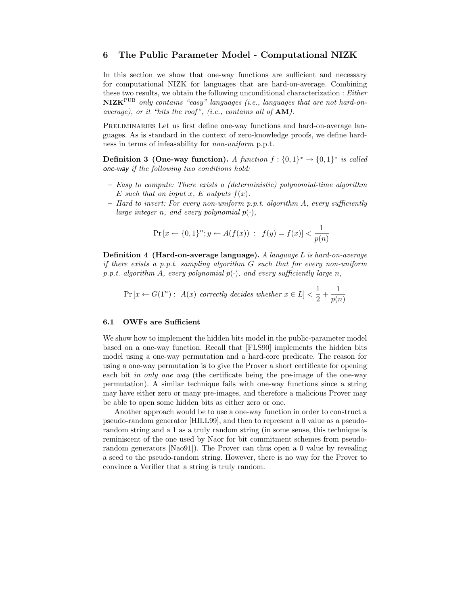### 6 The Public Parameter Model - Computational NIZK

In this section we show that one-way functions are sufficient and necessary for computational NIZK for languages that are hard-on-average. Combining these two results, we obtain the following unconditional characterization : Either  $NIZK<sup>PUB</sup>$  only contains "easy" languages (i.e., languages that are not hard-onaverage), or it "hits the roof", (i.e., contains all of AM).

PRELIMINARIES Let us first define one-way functions and hard-on-average languages. As is standard in the context of zero-knowledge proofs, we define hardness in terms of infeasability for non-uniform p.p.t.

**Definition 3 (One-way function).** A function  $f: \{0,1\}^* \to \{0,1\}^*$  is called one-way if the following two conditions hold:

- Easy to compute: There exists a (deterministic) polynomial-time algorithm E such that on input x, E outputs  $f(x)$ .
- $-$  Hard to invert: For every non-uniform p.p.t. algorithm A, every sufficiently large integer n, and every polynomial  $p(.)$ ,

$$
\Pr\left[x \leftarrow \{0, 1\}^n; y \leftarrow A(f(x)) : f(y) = f(x)\right] < \frac{1}{p(n)}
$$

**Definition 4 (Hard-on-average language).** A language L is hard-on-average if there exists a p.p.t. sampling algorithm  $G$  such that for every non-uniform p.p.t. algorithm A, every polynomial  $p(\cdot)$ , and every sufficiently large n,

$$
\Pr\left[x \leftarrow G(1^n): A(x) \text{ correctly decides whether } x \in L\right] < \frac{1}{2} + \frac{1}{p(n)}
$$

#### 6.1 OWFs are Sufficient

We show how to implement the hidden bits model in the public-parameter model based on a one-way function. Recall that [FLS90] implements the hidden bits model using a one-way permutation and a hard-core predicate. The reason for using a one-way permutation is to give the Prover a short certificate for opening each bit in only one way (the certificate being the pre-image of the one-way permutation). A similar technique fails with one-way functions since a string may have either zero or many pre-images, and therefore a malicious Prover may be able to open some hidden bits as either zero or one.

Another approach would be to use a one-way function in order to construct a pseudo-random generator [HILL99], and then to represent a 0 value as a pseudorandom string and a 1 as a truly random string (in some sense, this technique is reminiscent of the one used by Naor for bit commitment schemes from pseudorandom generators [Nao91]). The Prover can thus open a 0 value by revealing a seed to the pseudo-random string. However, there is no way for the Prover to convince a Verifier that a string is truly random.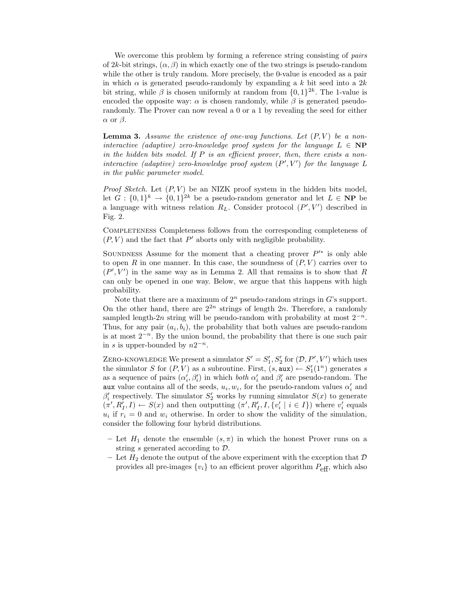We overcome this problem by forming a reference string consisting of *pairs* of 2k-bit strings,  $(\alpha, \beta)$  in which exactly one of the two strings is pseudo-random while the other is truly random. More precisely, the 0-value is encoded as a pair in which  $\alpha$  is generated pseudo-randomly by expanding a k bit seed into a 2k bit string, while  $\beta$  is chosen uniformly at random from  $\{0,1\}^{2k}$ . The 1-value is encoded the opposite way:  $\alpha$  is chosen randomly, while  $\beta$  is generated pseudorandomly. The Prover can now reveal a 0 or a 1 by revealing the seed for either α or β.

**Lemma 3.** Assume the existence of one-way functions. Let  $(P, V)$  be a noninteractive (adaptive) zero-knowledge proof system for the language  $L \in \mathbb{NP}$ in the hidden bits model. If  $P$  is an efficient prover, then, there exists a noninteractive (adaptive) zero-knowledge proof system  $(P', V')$  for the language  $L$ in the public parameter model.

*Proof Sketch.* Let  $(P, V)$  be an NIZK proof system in the hidden bits model, let  $G: \{0,1\}^k \to \{0,1\}^{2k}$  be a pseudo-random generator and let  $L \in \mathbf{NP}$  be a language with witness relation  $R_L$ . Consider protocol  $(P', V')$  described in Fig. 2.

Completeness Completeness follows from the corresponding completeness of  $(P, V)$  and the fact that  $P'$  aborts only with negligible probability.

SOUNDNESS Assume for the moment that a cheating prover  $P'^*$  is only able to open R in one manner. In this case, the soundness of  $(P, V)$  carries over to  $(P', V')$  in the same way as in Lemma 2. All that remains is to show that R can only be opened in one way. Below, we argue that this happens with high probability.

Note that there are a maximum of  $2^n$  pseudo-random strings in  $G$ 's support. On the other hand, there are  $2^{2n}$  strings of length 2n. Therefore, a randomly sampled length-2n string will be pseudo-random with probability at most  $2^{-n}$ . Thus, for any pair  $(a_i, b_i)$ , the probability that both values are pseudo-random is at most  $2^{-n}$ . By the union bound, the probability that there is one such pair in s is upper-bounded by  $n2^{-n}$ .

ZERO-KNOWLEDGE We present a simulator  $S' = S'_1, S'_2$  for  $(D, P', V')$  which uses the simulator S for  $(P, V)$  as a subroutine. First,  $(s, \text{aux}) \leftarrow S'_1(1^n)$  generates s as a sequence of pairs  $(\alpha'_i, \beta'_i)$  in which *both*  $\alpha'_i$  and  $\beta'_i$  are pseudo-random. The aux value contains all of the seeds,  $u_i, w_i$ , for the pseudo-random values  $\alpha'_i$  and  $\beta_i'$  respectively. The simulator  $S_2'$  works by running simulator  $S(x)$  to generate  $(\pi', R'_I, I) \leftarrow S(x)$  and then outputting  $(\pi', R'_I, I, \{v'_i \mid i \in I\})$  where  $v'_i$  equals  $u_i$  if  $r_i = 0$  and  $w_i$  otherwise. In order to show the validity of the simulation, consider the following four hybrid distributions.

- Let  $H_1$  denote the ensemble  $(s, \pi)$  in which the honest Prover runs on a string s generated according to D.
- Let  $H_2$  denote the output of the above experiment with the exception that  $\mathcal D$ provides all pre-images  $\{v_i\}$  to an efficient prover algorithm  $P_{\text{eff}}$ , which also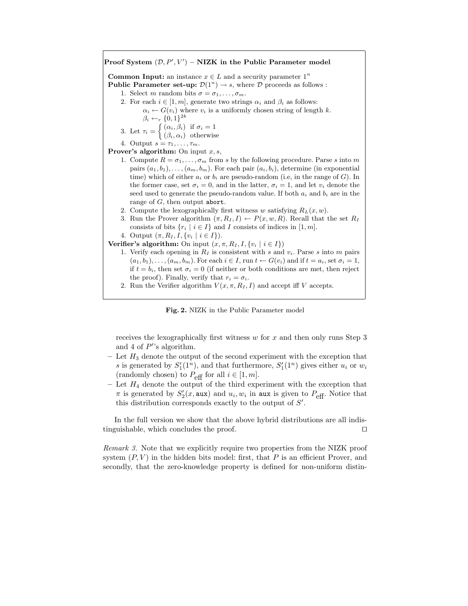Proof System  $(D, P', V')$  – NIZK in the Public Parameter model **Common Input:** an instance  $x \in L$  and a security parameter  $1^n$ **Public Parameter set-up:**  $\mathcal{D}(1^n) \to s$ , where  $\mathcal{D}$  proceeds as follows : 1. Select m random bits  $\sigma = \sigma_1, \ldots, \sigma_m$ . 2. For each  $i \in [1, m]$ , generate two strings  $\alpha_i$  and  $\beta_i$  as follows:  $\alpha_i \leftarrow G(v_i)$  where  $v_i$  is a uniformly chosen string of length k.  $\beta_i \leftarrow_r \{0,1\}^{2k}$ 3. Let  $\tau_i = \begin{cases} (\alpha_i, \beta_i) & \text{if } \sigma_i = 1 \\ (\beta, \alpha_i) & \text{otherwise} \end{cases}$  $(\beta_i, \alpha_i)$  otherwise 4. Output  $s = \tau_1, \ldots, \tau_m$ . **Prover's algorithm:** On input  $x, s$ , 1. Compute  $R = \sigma_1, \ldots, \sigma_m$  from s by the following procedure. Parse s into m pairs  $(a_1, b_1), \ldots, (a_m, b_m)$ . For each pair  $(a_i, b_i)$ , determine (in exponential time) which of either  $a_i$  or  $b_i$  are pseudo-random (i.e, in the range of G). In the former case, set  $\sigma_i = 0$ , and in the latter,  $\sigma_i = 1$ , and let  $v_i$  denote the seed used to generate the pseudo-random value. If both  $a_i$  and  $b_i$  are in the range of  $G$ , then output abort. 2. Compute the lexographically first witness w satisfying  $R_L(x, w)$ . 3. Run the Prover algorithm  $(\pi, R_I, I) \leftarrow P(x, w, R)$ . Recall that the set  $R_I$ consists of bits  $\{r_i \mid i \in I\}$  and I consists of indices in  $[1, m]$ . 4. Output  $(\pi, R_I, I, \{v_i \mid i \in I\}).$ **Verifier's algorithm:** On input  $(x, \pi, R_I, I, \{v_i \mid i \in I\})$ 1. Verify each opening in  $R_I$  is consistent with s and  $v_i$ . Parse s into m pairs  $(a_1, b_1), \ldots, (a_m, b_m)$ . For each  $i \in I$ , run  $t \leftarrow G(v_i)$  and if  $t = a_i$ , set  $\sigma_i = 1$ , if  $t = b_i$ , then set  $\sigma_i = 0$  (if neither or both conditions are met, then reject the proof). Finally, verify that  $r_i = \sigma_i$ .

2. Run the Verifier algorithm  $V(x, \pi, R_I, I)$  and accept iff V accepts.



receives the lexographically first witness  $w$  for  $x$  and then only runs Step 3 and 4 of  $P'$ 's algorithm.

- Let  $H_3$  denote the output of the second experiment with the exception that s is generated by  $S'_1(1^n)$ , and that furthermore,  $S'_1(1^n)$  gives either  $u_i$  or  $w_i$ (randomly chosen) to  $P_{\text{eff}}$  for all  $i \in [1, m]$ .
- Let  $H_4$  denote the output of the third experiment with the exception that  $\pi$  is generated by  $S'_2(x, \text{aux})$  and  $u_i, w_i$  in aux is given to  $P_{\text{eff}}$ . Notice that this distribution corresponds exactly to the output of  $S'$ .

In the full version we show that the above hybrid distributions are all indistinguishable, which concludes the proof.  $\Box$ 

Remark 3. Note that we explicitly require two properties from the NIZK proof system  $(P, V)$  in the hidden bits model: first, that P is an efficient Prover, and secondly, that the zero-knowledge property is defined for non-uniform distin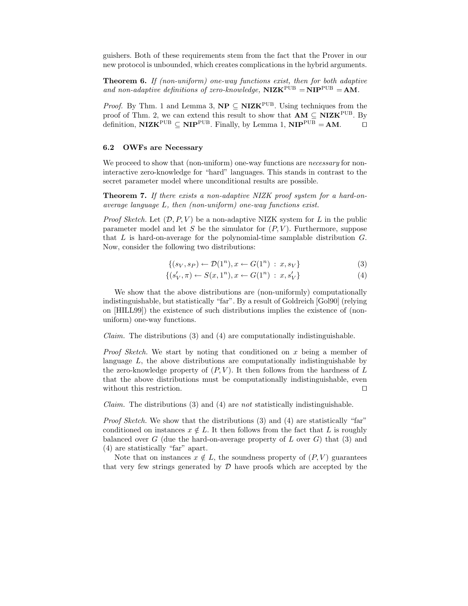guishers. Both of these requirements stem from the fact that the Prover in our new protocol is unbounded, which creates complications in the hybrid arguments.

Theorem 6. If (non-uniform) one-way functions exist, then for both adaptive and non-adaptive definitions of zero-knowledge,  $NIZK^{PUB} = NIP^{PUB} = AM$ .

*Proof.* By Thm. 1 and Lemma 3,  $NP \subseteq NIZK^{PUB}$ . Using techniques from the proof of Thm. 2, we can extend this result to show that  $AM \subseteq NIZK^{PUB}$ . By definition,  $NIZK^{PUB} \subseteq NIP^{PUB}$ . Finally, by Lemma 1,  $NIP^{PUB} = AM$ .

### 6.2 OWFs are Necessary

We proceed to show that (non-uniform) one-way functions are *necessary* for noninteractive zero-knowledge for "hard" languages. This stands in contrast to the secret parameter model where unconditional results are possible.

Theorem 7. If there exists a non-adaptive NIZK proof system for a hard-onaverage language L, then (non-uniform) one-way functions exist.

*Proof Sketch.* Let  $(D, P, V)$  be a non-adaptive NIZK system for L in the public parameter model and let S be the simulator for  $(P, V)$ . Furthermore, suppose that  $L$  is hard-on-average for the polynomial-time samplable distribution  $G$ . Now, consider the following two distributions:

$$
\{(s_V, s_P) \leftarrow \mathcal{D}(1^n), x \leftarrow G(1^n) : x, s_V\}
$$
\n
$$
(3)
$$

$$
\{(s'_V, \pi) \leftarrow S(x, 1^n), x \leftarrow G(1^n) : x, s'_V\}
$$
 (4)

We show that the above distributions are (non-uniformly) computationally indistinguishable, but statistically "far". By a result of Goldreich [Gol90] (relying on [HILL99]) the existence of such distributions implies the existence of (nonuniform) one-way functions.

*Claim.* The distributions  $(3)$  and  $(4)$  are computationally indistinguishable.

Proof Sketch. We start by noting that conditioned on x being a member of language L, the above distributions are computationally indistinguishable by the zero-knowledge property of  $(P, V)$ . It then follows from the hardness of L that the above distributions must be computationally indistinguishable, even without this restriction.  $\Box$ 

*Claim.* The distributions  $(3)$  and  $(4)$  are not statistically indistinguishable.

Proof Sketch. We show that the distributions (3) and (4) are statistically "far" conditioned on instances  $x \notin L$ . It then follows from the fact that L is roughly balanced over  $G$  (due the hard-on-average property of  $L$  over  $G$ ) that (3) and (4) are statistically "far" apart.

Note that on instances  $x \notin L$ , the soundness property of  $(P, V)$  guarantees that very few strings generated by  $\mathcal D$  have proofs which are accepted by the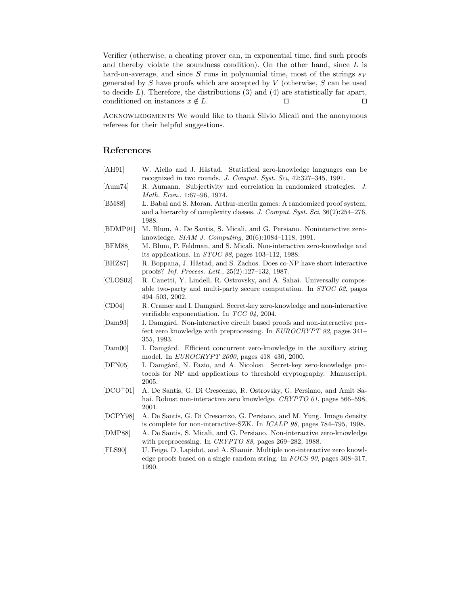Verifier (otherwise, a cheating prover can, in exponential time, find such proofs and thereby violate the soundness condition). On the other hand, since  $L$  is hard-on-average, and since  $S$  runs in polynomial time, most of the strings  $s_V$ generated by  $S$  have proofs which are accepted by  $V$  (otherwise,  $S$  can be used to decide  $L$ ). Therefore, the distributions  $(3)$  and  $(4)$  are statistically far apart, conditioned on instances  $x \notin L$ .  $\Box$ 

ACKNOWLEDGMENTS We would like to thank Silvio Micali and the anonymous referees for their helpful suggestions.

### References

- [AH91] W. Aiello and J. Håstad. Statistical zero-knowledge languages can be recognized in two rounds. J. Comput. Syst. Sci, 42:327–345, 1991.
- [Aum74] R. Aumann. Subjectivity and correlation in randomized strategies. J. Math. Econ., 1:67–96, 1974.
- [BM88] L. Babai and S. Moran. Arthur-merlin games: A randomized proof system, and a hierarchy of complexity classes. J. Comput. Syst. Sci, 36(2):254–276, 1988.
- [BDMP91] M. Blum, A. De Santis, S. Micali, and G. Persiano. Noninteractive zeroknowledge. SIAM J. Computing, 20(6):1084–1118, 1991.
- [BFM88] M. Blum, P. Feldman, and S. Micali. Non-interactive zero-knowledge and its applications. In STOC 88, pages 103–112, 1988.
- [BHZ87] R. Boppana, J. Håstad, and S. Zachos. Does co-NP have short interactive proofs? Inf. Process. Lett., 25(2):127–132, 1987.
- [CLOS02] R. Canetti, Y. Lindell, R. Ostrovsky, and A. Sahai. Universally composable two-party and multi-party secure computation. In STOC 02, pages 494–503, 2002.
- [CD04] R. Cramer and I. Damgård. Secret-key zero-knowledge and non-interactive verifiable exponentiation. In TCC 04, 2004.
- [Dam93] I. Damgård. Non-interactive circuit based proofs and non-interactive perfect zero knowledge with preprocessing. In EUROCRYPT 92, pages 341– 355, 1993.
- [Dam00] I. Damgård. Efficient concurrent zero-knowledge in the auxiliary string model. In EUROCRYPT 2000, pages 418–430, 2000.
- [DFN05] I. Damgård, N. Fazio, and A. Nicolosi. Secret-key zero-knowledge protocols for NP and applications to threshold cryptography. Manuscript, 2005.
- [DCO<sup>+</sup>01] A. De Santis, G. Di Crescenzo, R. Ostrovsky, G. Persiano, and Amit Sahai. Robust non-interactive zero knowledge. CRYPTO 01, pages 566–598, 2001.
- [DCPY98] A. De Santis, G. Di Crescenzo, G. Persiano, and M. Yung. Image density is complete for non-interactive-SZK. In ICALP 98, pages 784–795, 1998.
- [DMP88] A. De Santis, S. Micali, and G. Persiano. Non-interactive zero-knowledge with preprocessing. In CRYPTO 88, pages 269–282, 1988.
- [FLS90] U. Feige, D. Lapidot, and A. Shamir. Multiple non-interactive zero knowledge proofs based on a single random string. In FOCS 90, pages 308–317, 1990.